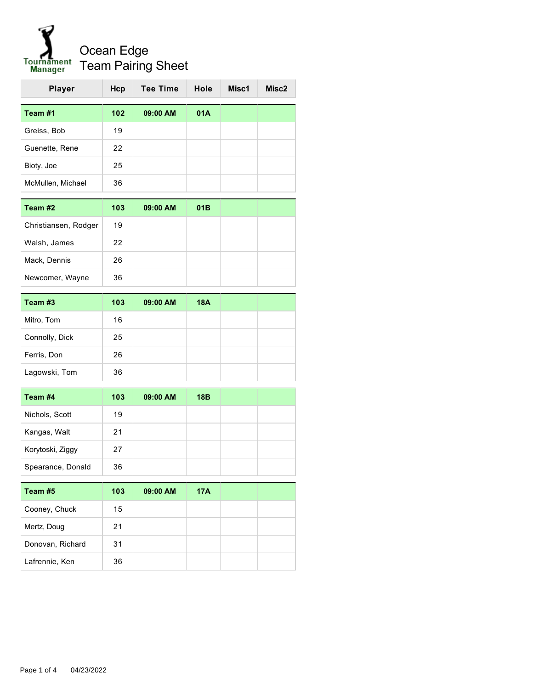

| <b>Player</b>     | Hcp | <b>Tee Time</b> | Hole | Misc1 | Misc <sub>2</sub> |
|-------------------|-----|-----------------|------|-------|-------------------|
| Team #1           | 102 | 09:00 AM        | 01A  |       |                   |
| Greiss, Bob       | 19  |                 |      |       |                   |
| Guenette, Rene    | 22  |                 |      |       |                   |
| Bioty, Joe        | 25  |                 |      |       |                   |
| McMullen, Michael | 36  |                 |      |       |                   |

| Team #2              | 103 | 09:00 AM | 01B |  |
|----------------------|-----|----------|-----|--|
| Christiansen, Rodger | 19  |          |     |  |
| Walsh, James         | 22  |          |     |  |
| Mack, Dennis         | 26  |          |     |  |
| Newcomer, Wayne      | 36  |          |     |  |

| Team #3        | 103 | 09:00 AM | 18A |  |
|----------------|-----|----------|-----|--|
| Mitro, Tom     | 16  |          |     |  |
| Connolly, Dick | 25  |          |     |  |
| Ferris, Don    | 26  |          |     |  |
| Lagowski, Tom  | 36  |          |     |  |

| Team #4           | 103 | 09:00 AM | 18B |  |
|-------------------|-----|----------|-----|--|
| Nichols, Scott    | 19  |          |     |  |
| Kangas, Walt      | 21  |          |     |  |
| Korytoski, Ziggy  | 27  |          |     |  |
| Spearance, Donald | 36  |          |     |  |

| Team #5          | 103 | 09:00 AM | 17A |  |
|------------------|-----|----------|-----|--|
| Cooney, Chuck    | 15  |          |     |  |
| Mertz, Doug      | 21  |          |     |  |
| Donovan, Richard | 31  |          |     |  |
| Lafrennie, Ken   | 36  |          |     |  |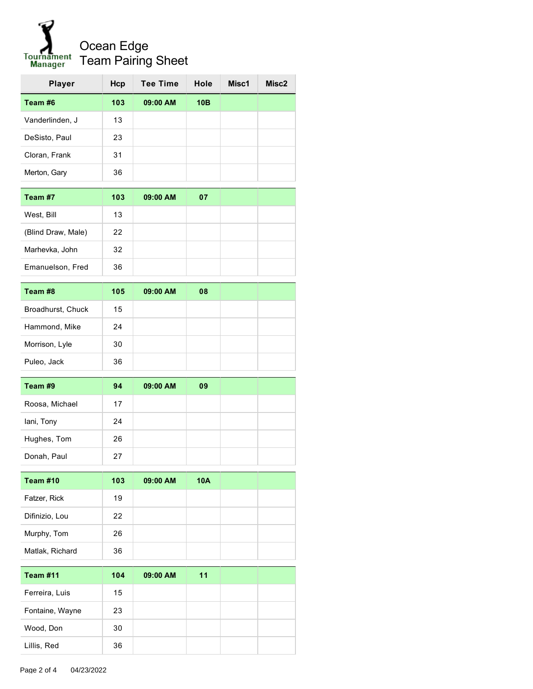## Ocean Edge Tournament<br>Manager Team Pairing Sheet

| <b>Player</b>   | Hcp | <b>Tee Time</b> | Hole | Misc1 | Misc2 |
|-----------------|-----|-----------------|------|-------|-------|
| Team #6         | 103 | 09:00 AM        | 10B  |       |       |
| Vanderlinden, J | 13  |                 |      |       |       |
| DeSisto, Paul   | 23  |                 |      |       |       |
| Cloran, Frank   | 31  |                 |      |       |       |
| Merton, Gary    | 36  |                 |      |       |       |
|                 |     |                 |      |       |       |

| Team #7            | 103 | 09:00 AM | 07 |  |
|--------------------|-----|----------|----|--|
| West, Bill         | 13  |          |    |  |
| (Blind Draw, Male) | 22  |          |    |  |
| Marhevka, John     | 32  |          |    |  |
| Emanuelson, Fred   | 36  |          |    |  |

| Team #8           | 105 | 09:00 AM | 08 |  |
|-------------------|-----|----------|----|--|
| Broadhurst, Chuck | 15  |          |    |  |
| Hammond, Mike     | 24  |          |    |  |
| Morrison, Lyle    | 30  |          |    |  |
| Puleo, Jack       | 36  |          |    |  |

| Team #9        | 94 | 09:00 AM | 09 |  |
|----------------|----|----------|----|--|
| Roosa, Michael | 17 |          |    |  |
| lani, Tony     | 24 |          |    |  |
| Hughes, Tom    | 26 |          |    |  |
| Donah, Paul    | 27 |          |    |  |

| Team #10        | 103 | 09:00 AM | 10A |  |
|-----------------|-----|----------|-----|--|
| Fatzer, Rick    | 19  |          |     |  |
| Difinizio, Lou  | 22  |          |     |  |
| Murphy, Tom     | 26  |          |     |  |
| Matlak, Richard | 36  |          |     |  |

| <b>Team #11</b> | 104 | 09:00 AM | 11 |  |
|-----------------|-----|----------|----|--|
| Ferreira, Luis  | 15  |          |    |  |
| Fontaine, Wayne | 23  |          |    |  |
| Wood, Don       | 30  |          |    |  |
| Lillis, Red     | 36  |          |    |  |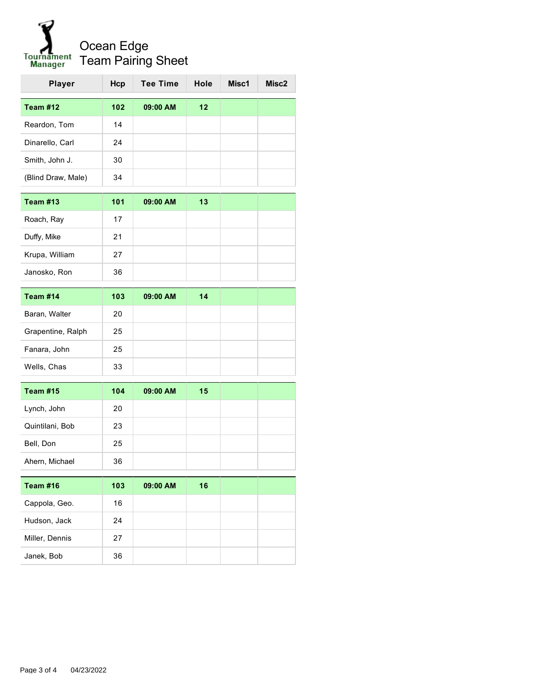## Ocean Edge Tournament<br>Manager Team Pairing Sheet

| <b>Player</b>      | Hcp | <b>Tee Time</b> | Hole | Misc1 | Misc2 |
|--------------------|-----|-----------------|------|-------|-------|
| Team #12           | 102 | 09:00 AM        | 12   |       |       |
| Reardon, Tom       | 14  |                 |      |       |       |
| Dinarello, Carl    | 24  |                 |      |       |       |
| Smith, John J.     | 30  |                 |      |       |       |
| (Blind Draw, Male) | 34  |                 |      |       |       |
| <b>Team #13</b>    | 101 | 09:00 AM        | 13   |       |       |
| Roach, Ray         | 17  |                 |      |       |       |
| Duffy, Mike        | 21  |                 |      |       |       |
| Krupa, William     | 27  |                 |      |       |       |
| Janosko, Ron       | 36  |                 |      |       |       |
| Team #14           | 103 | 09:00 AM        | 14   |       |       |
| Baran, Walter      | 20  |                 |      |       |       |
| Grapentine, Ralph  | 25  |                 |      |       |       |
| Fanara, John       | 25  |                 |      |       |       |
| Wells, Chas        | 33  |                 |      |       |       |
| <b>Team #15</b>    | 104 | 09:00 AM        | 15   |       |       |
| Lynch, John        | 20  |                 |      |       |       |
|                    |     |                 |      |       |       |

| 23 |  |  |
|----|--|--|
| 25 |  |  |
| 36 |  |  |
|    |  |  |

| Team #16       | 103 | 09:00 AM | 16 |  |
|----------------|-----|----------|----|--|
| Cappola, Geo.  | 16  |          |    |  |
| Hudson, Jack   | 24  |          |    |  |
| Miller, Dennis | 27  |          |    |  |
| Janek, Bob     | 36  |          |    |  |